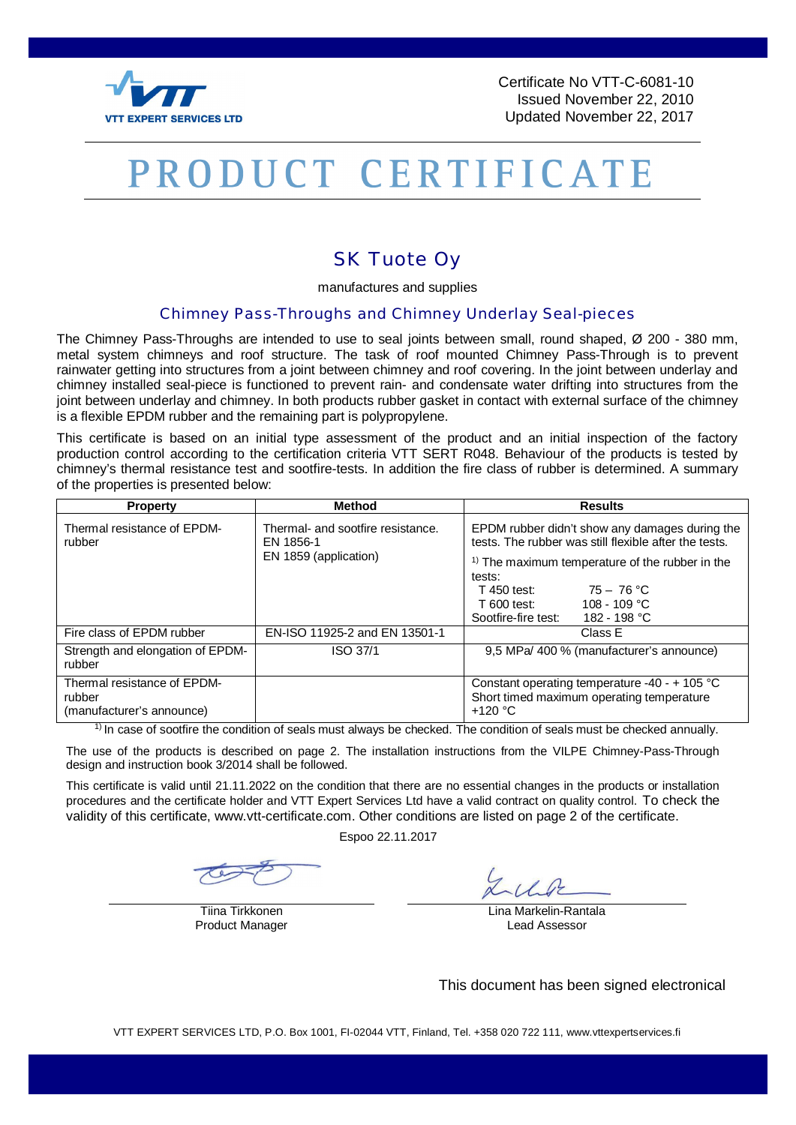

Certificate No VTT-C-6081-10 Issued November 22, 2010 Updated November 22, 2017

## PRODUCT CERTIFICATE

## SK Tuote Oy

manufactures and supplies

## Chimney Pass-Throughs and Chimney Underlay Seal-pieces

The Chimney Pass-Throughs are intended to use to seal joints between small, round shaped, Ø 200 - 380 mm, metal system chimneys and roof structure. The task of roof mounted Chimney Pass-Through is to prevent rainwater getting into structures from a joint between chimney and roof covering. In the joint between underlay and chimney installed seal-piece is functioned to prevent rain- and condensate water drifting into structures from the joint between underlay and chimney. In both products rubber gasket in contact with external surface of the chimney is a flexible EPDM rubber and the remaining part is polypropylene.

This certificate is based on an initial type assessment of the product and an initial inspection of the factory production control according to the certification criteria VTT SERT R048. Behaviour of the products is tested by chimney's thermal resistance test and sootfire-tests. In addition the fire class of rubber is determined. A summary of the properties is presented below:

| <b>Property</b>                                                    | <b>Method</b>                                                           | <b>Results</b>                                                                                                                                                                                                                                                                  |
|--------------------------------------------------------------------|-------------------------------------------------------------------------|---------------------------------------------------------------------------------------------------------------------------------------------------------------------------------------------------------------------------------------------------------------------------------|
| Thermal resistance of EPDM-<br>rubber                              | Thermal- and sootfire resistance.<br>EN 1856-1<br>EN 1859 (application) | EPDM rubber didn't show any damages during the<br>tests. The rubber was still flexible after the tests.<br>$1$ The maximum temperature of the rubber in the<br>tests:<br>75 – 76 °C<br><b>T</b> 450 test:<br>$T600$ test: $108 - 109$ °C<br>Sootfire-fire test:<br>182 - 198 °C |
| Fire class of EPDM rubber                                          | EN-ISO 11925-2 and EN 13501-1                                           | Class E                                                                                                                                                                                                                                                                         |
| Strength and elongation of EPDM-<br>rubber                         | ISO 37/1                                                                | 9.5 MPa/400 % (manufacturer's announce)                                                                                                                                                                                                                                         |
| Thermal resistance of EPDM-<br>rubber<br>(manufacturer's announce) |                                                                         | Constant operating temperature -40 - + 105 $^{\circ}$ C<br>Short timed maximum operating temperature<br>$+120$ °C                                                                                                                                                               |

 $<sup>1</sup>$  In case of sootfire the condition of seals must always be checked. The condition of seals must be checked annually.</sup>

The use of the products is described on page 2. The installation instructions from the VILPE Chimney-Pass-Through design and instruction book 3/2014 shall be followed.

This certificate is valid until 21.11.2022 on the condition that there are no essential changes in the products or installation procedures and the certificate holder and VTT Expert Services Ltd have a valid contract on quality control. To check the validity of this certificate, www.vtt-certificate.com. Other conditions are listed on page 2 of the certificate.

Espoo 22.11.2017

Product Manager **Lead Assessor** 

Tiina Tirkkonen **Lina Markelin-Rantala** 

This document has been signed electronical